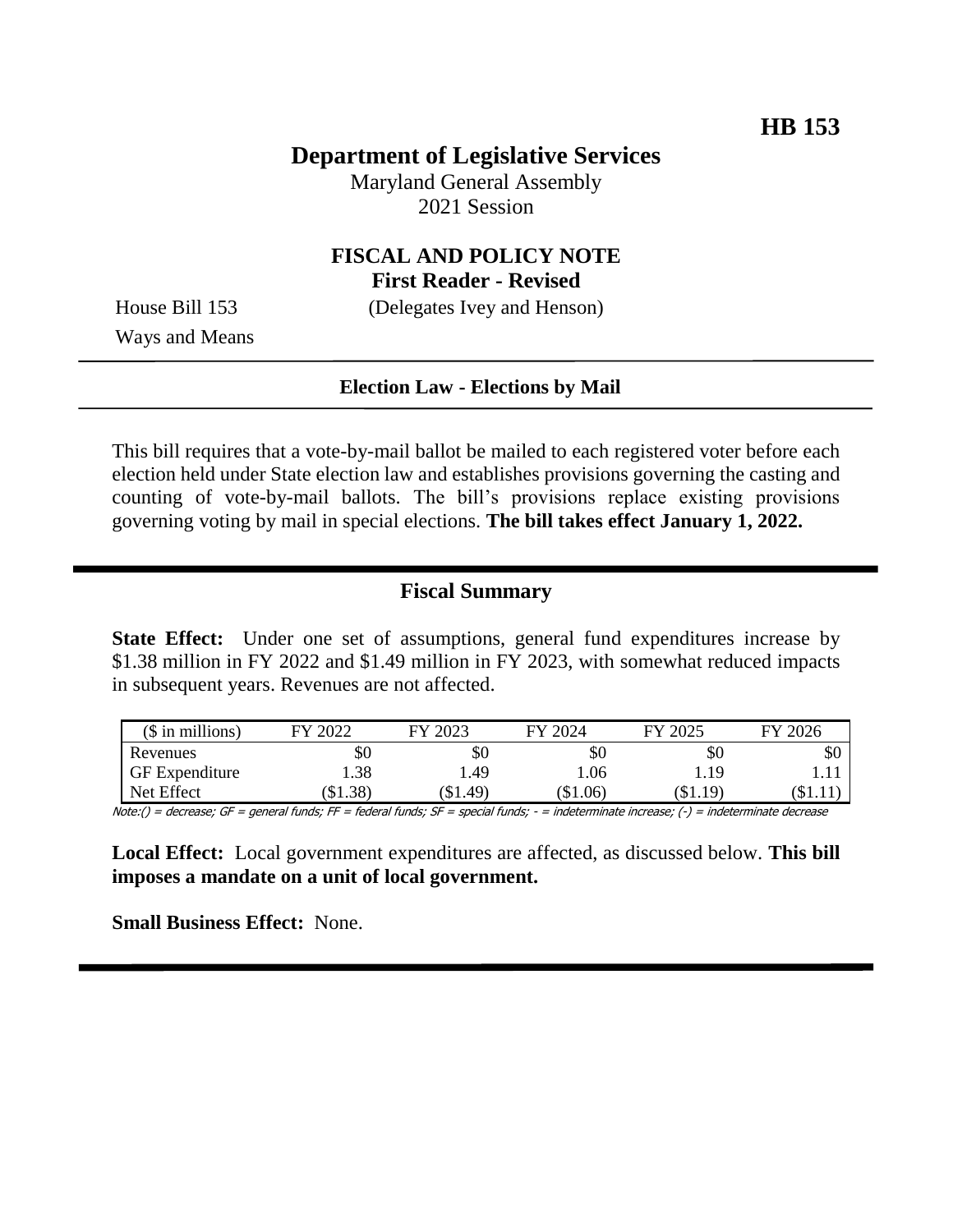## **Department of Legislative Services**

Maryland General Assembly 2021 Session

## **FISCAL AND POLICY NOTE First Reader - Revised**

House Bill 153 (Delegates Ivey and Henson) Ways and Means

### **Election Law - Elections by Mail**

This bill requires that a vote-by-mail ballot be mailed to each registered voter before each election held under State election law and establishes provisions governing the casting and counting of vote-by-mail ballots. The bill's provisions replace existing provisions governing voting by mail in special elections. **The bill takes effect January 1, 2022.**

#### **Fiscal Summary**

**State Effect:** Under one set of assumptions, general fund expenditures increase by \$1.38 million in FY 2022 and \$1.49 million in FY 2023, with somewhat reduced impacts in subsequent years. Revenues are not affected.

| $($$ in millions)     | FY 2022 | FY 2023 | FY 2024 | FY 2025   | FY 2026 |
|-----------------------|---------|---------|---------|-----------|---------|
| Revenues              | \$0     | \$0     | \$0     | \$0       | \$0     |
| <b>GF</b> Expenditure | 1.38    | .49     | 1.06    | 1.19      |         |
| Net Effect            | \$1.38  | \$1.49  | \$1.06  | $\$1.19)$ | (S1.1)  |

Note:() = decrease; GF = general funds; FF = federal funds; SF = special funds; - = indeterminate increase; (-) = indeterminate decrease

**Local Effect:** Local government expenditures are affected, as discussed below. **This bill imposes a mandate on a unit of local government.**

**Small Business Effect:** None.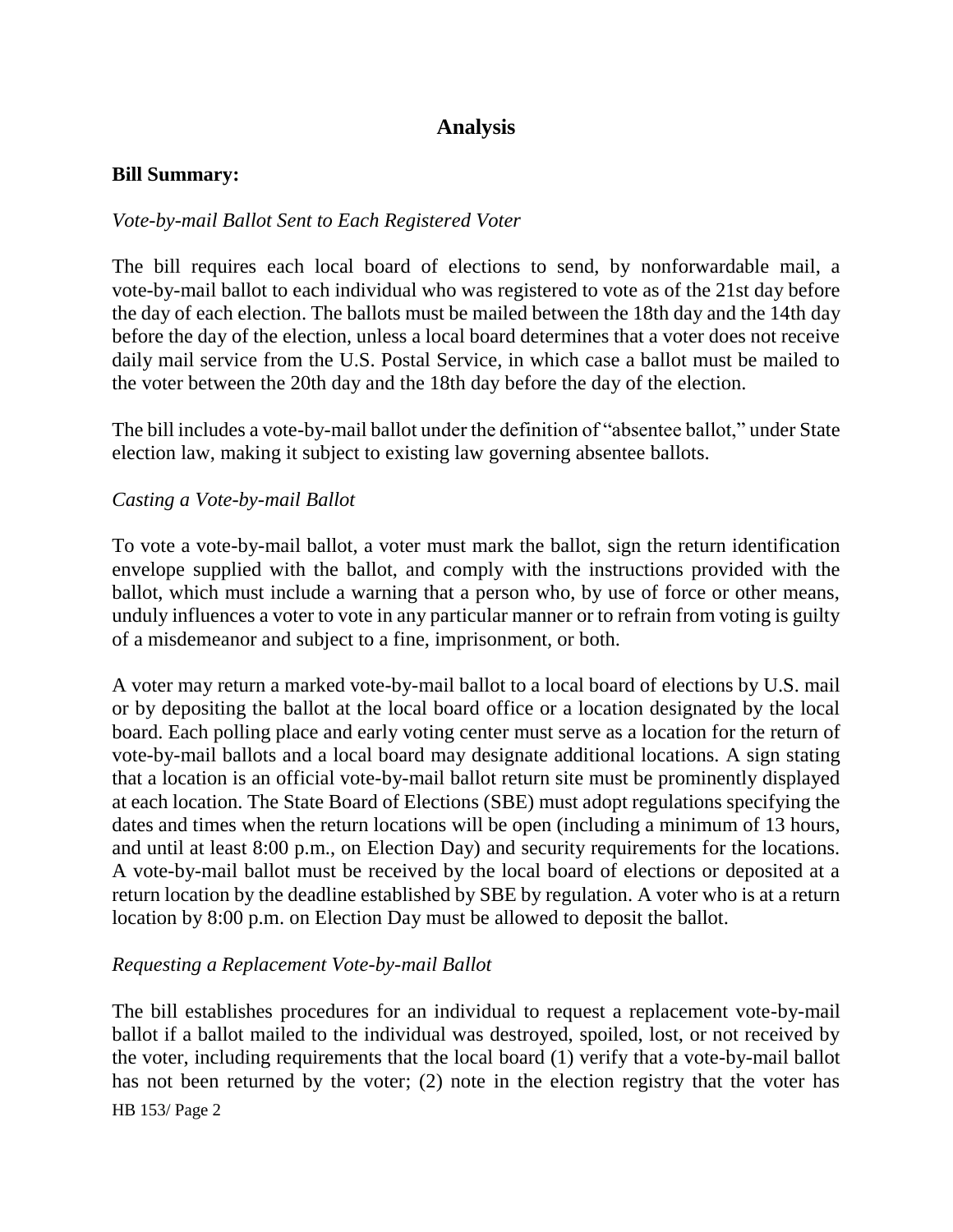# **Analysis**

#### **Bill Summary:**

### *Vote-by-mail Ballot Sent to Each Registered Voter*

The bill requires each local board of elections to send, by nonforwardable mail, a vote-by-mail ballot to each individual who was registered to vote as of the 21st day before the day of each election. The ballots must be mailed between the 18th day and the 14th day before the day of the election, unless a local board determines that a voter does not receive daily mail service from the U.S. Postal Service, in which case a ballot must be mailed to the voter between the 20th day and the 18th day before the day of the election.

The bill includes a vote-by-mail ballot under the definition of "absentee ballot," under State election law, making it subject to existing law governing absentee ballots.

#### *Casting a Vote-by-mail Ballot*

To vote a vote-by-mail ballot, a voter must mark the ballot, sign the return identification envelope supplied with the ballot, and comply with the instructions provided with the ballot, which must include a warning that a person who, by use of force or other means, unduly influences a voter to vote in any particular manner or to refrain from voting is guilty of a misdemeanor and subject to a fine, imprisonment, or both.

A voter may return a marked vote-by-mail ballot to a local board of elections by U.S. mail or by depositing the ballot at the local board office or a location designated by the local board. Each polling place and early voting center must serve as a location for the return of vote-by-mail ballots and a local board may designate additional locations. A sign stating that a location is an official vote-by-mail ballot return site must be prominently displayed at each location. The State Board of Elections (SBE) must adopt regulations specifying the dates and times when the return locations will be open (including a minimum of 13 hours, and until at least 8:00 p.m., on Election Day) and security requirements for the locations. A vote-by-mail ballot must be received by the local board of elections or deposited at a return location by the deadline established by SBE by regulation. A voter who is at a return location by 8:00 p.m. on Election Day must be allowed to deposit the ballot.

#### *Requesting a Replacement Vote-by-mail Ballot*

HB 153/ Page 2 The bill establishes procedures for an individual to request a replacement vote-by-mail ballot if a ballot mailed to the individual was destroyed, spoiled, lost, or not received by the voter, including requirements that the local board (1) verify that a vote-by-mail ballot has not been returned by the voter; (2) note in the election registry that the voter has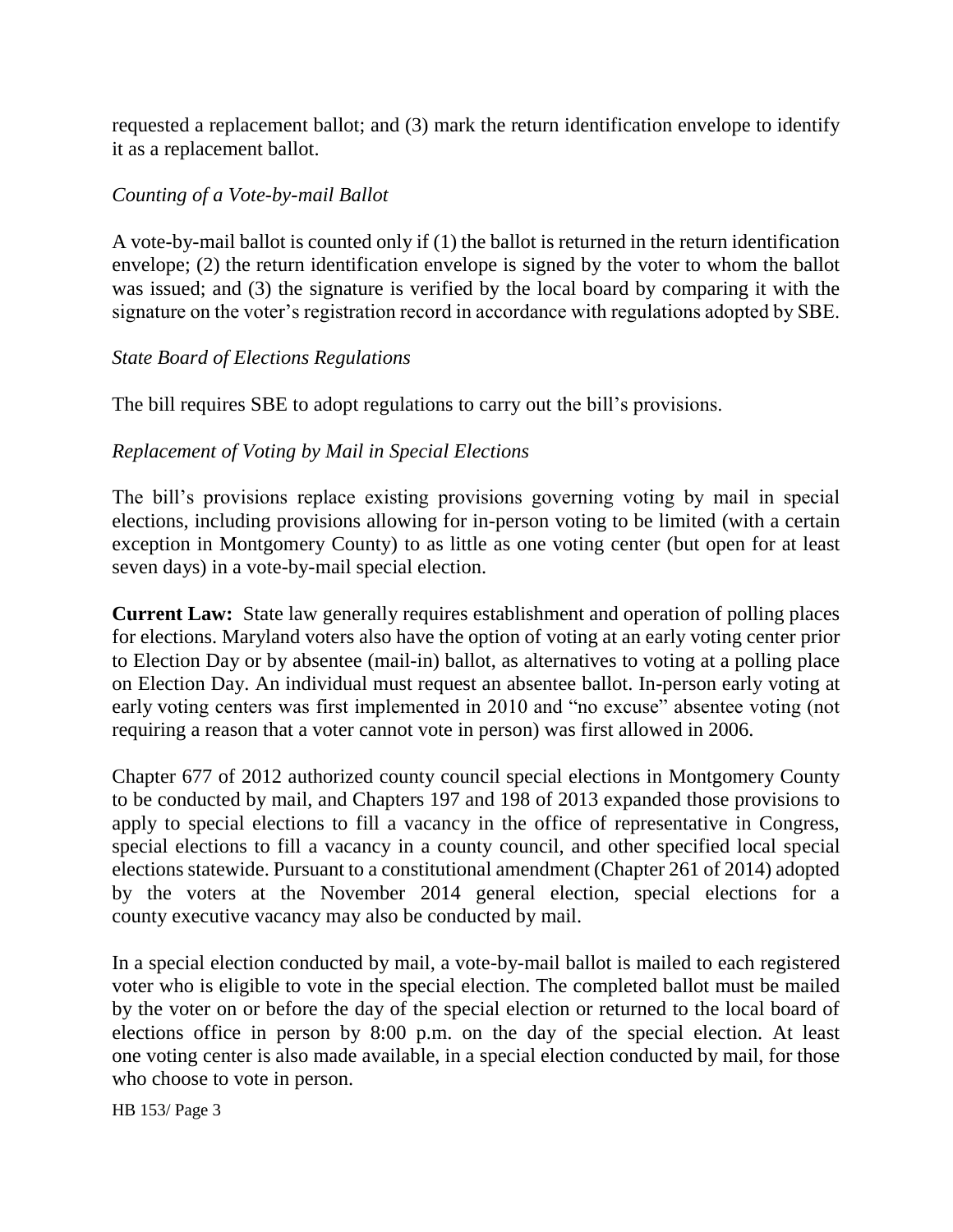requested a replacement ballot; and (3) mark the return identification envelope to identify it as a replacement ballot.

### *Counting of a Vote-by-mail Ballot*

A vote-by-mail ballot is counted only if (1) the ballot is returned in the return identification envelope; (2) the return identification envelope is signed by the voter to whom the ballot was issued; and (3) the signature is verified by the local board by comparing it with the signature on the voter's registration record in accordance with regulations adopted by SBE.

### *State Board of Elections Regulations*

The bill requires SBE to adopt regulations to carry out the bill's provisions.

### *Replacement of Voting by Mail in Special Elections*

The bill's provisions replace existing provisions governing voting by mail in special elections, including provisions allowing for in-person voting to be limited (with a certain exception in Montgomery County) to as little as one voting center (but open for at least seven days) in a vote-by-mail special election.

**Current Law:** State law generally requires establishment and operation of polling places for elections. Maryland voters also have the option of voting at an early voting center prior to Election Day or by absentee (mail-in) ballot, as alternatives to voting at a polling place on Election Day. An individual must request an absentee ballot. In-person early voting at early voting centers was first implemented in 2010 and "no excuse" absentee voting (not requiring a reason that a voter cannot vote in person) was first allowed in 2006.

Chapter 677 of 2012 authorized county council special elections in Montgomery County to be conducted by mail, and Chapters 197 and 198 of 2013 expanded those provisions to apply to special elections to fill a vacancy in the office of representative in Congress, special elections to fill a vacancy in a county council, and other specified local special elections statewide. Pursuant to a constitutional amendment (Chapter 261 of 2014) adopted by the voters at the November 2014 general election, special elections for a county executive vacancy may also be conducted by mail.

In a special election conducted by mail, a vote-by-mail ballot is mailed to each registered voter who is eligible to vote in the special election. The completed ballot must be mailed by the voter on or before the day of the special election or returned to the local board of elections office in person by 8:00 p.m. on the day of the special election. At least one voting center is also made available, in a special election conducted by mail, for those who choose to vote in person.

HB 153/ Page 3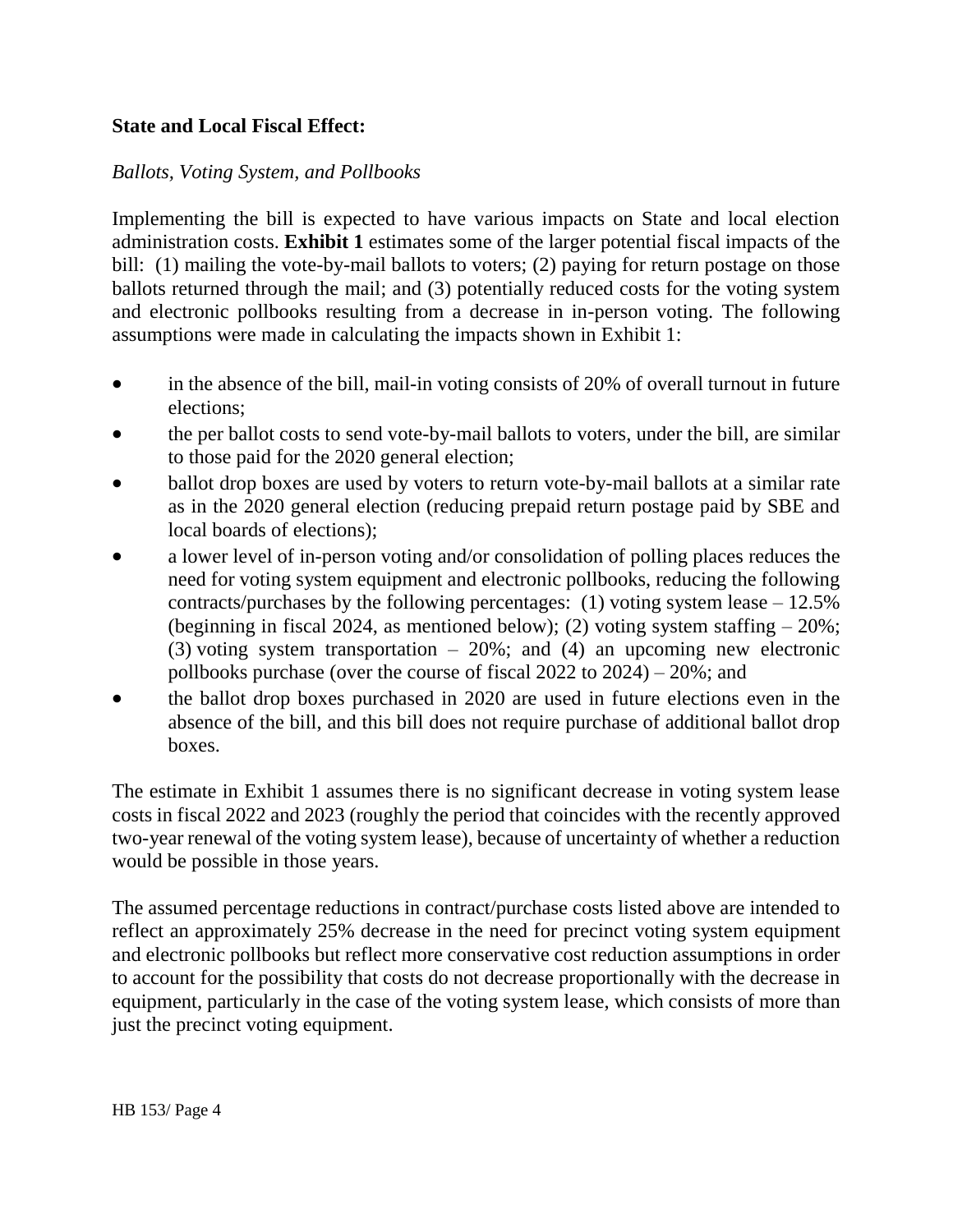## **State and Local Fiscal Effect:**

## *Ballots, Voting System, and Pollbooks*

Implementing the bill is expected to have various impacts on State and local election administration costs. **Exhibit 1** estimates some of the larger potential fiscal impacts of the bill: (1) mailing the vote-by-mail ballots to voters; (2) paying for return postage on those ballots returned through the mail; and (3) potentially reduced costs for the voting system and electronic pollbooks resulting from a decrease in in-person voting. The following assumptions were made in calculating the impacts shown in Exhibit 1:

- in the absence of the bill, mail-in voting consists of 20% of overall turnout in future elections;
- the per ballot costs to send vote-by-mail ballots to voters, under the bill, are similar to those paid for the 2020 general election;
- ballot drop boxes are used by voters to return vote-by-mail ballots at a similar rate as in the 2020 general election (reducing prepaid return postage paid by SBE and local boards of elections);
- a lower level of in-person voting and/or consolidation of polling places reduces the need for voting system equipment and electronic pollbooks, reducing the following contracts/purchases by the following percentages: (1) voting system lease  $-12.5\%$ (beginning in fiscal 2024, as mentioned below); (2) voting system staffing  $-20\%$ ; (3) voting system transportation – 20%; and (4) an upcoming new electronic pollbooks purchase (over the course of fiscal 2022 to 2024) – 20%; and
- the ballot drop boxes purchased in 2020 are used in future elections even in the absence of the bill, and this bill does not require purchase of additional ballot drop boxes.

The estimate in Exhibit 1 assumes there is no significant decrease in voting system lease costs in fiscal 2022 and 2023 (roughly the period that coincides with the recently approved two-year renewal of the voting system lease), because of uncertainty of whether a reduction would be possible in those years.

The assumed percentage reductions in contract/purchase costs listed above are intended to reflect an approximately 25% decrease in the need for precinct voting system equipment and electronic pollbooks but reflect more conservative cost reduction assumptions in order to account for the possibility that costs do not decrease proportionally with the decrease in equipment, particularly in the case of the voting system lease, which consists of more than just the precinct voting equipment.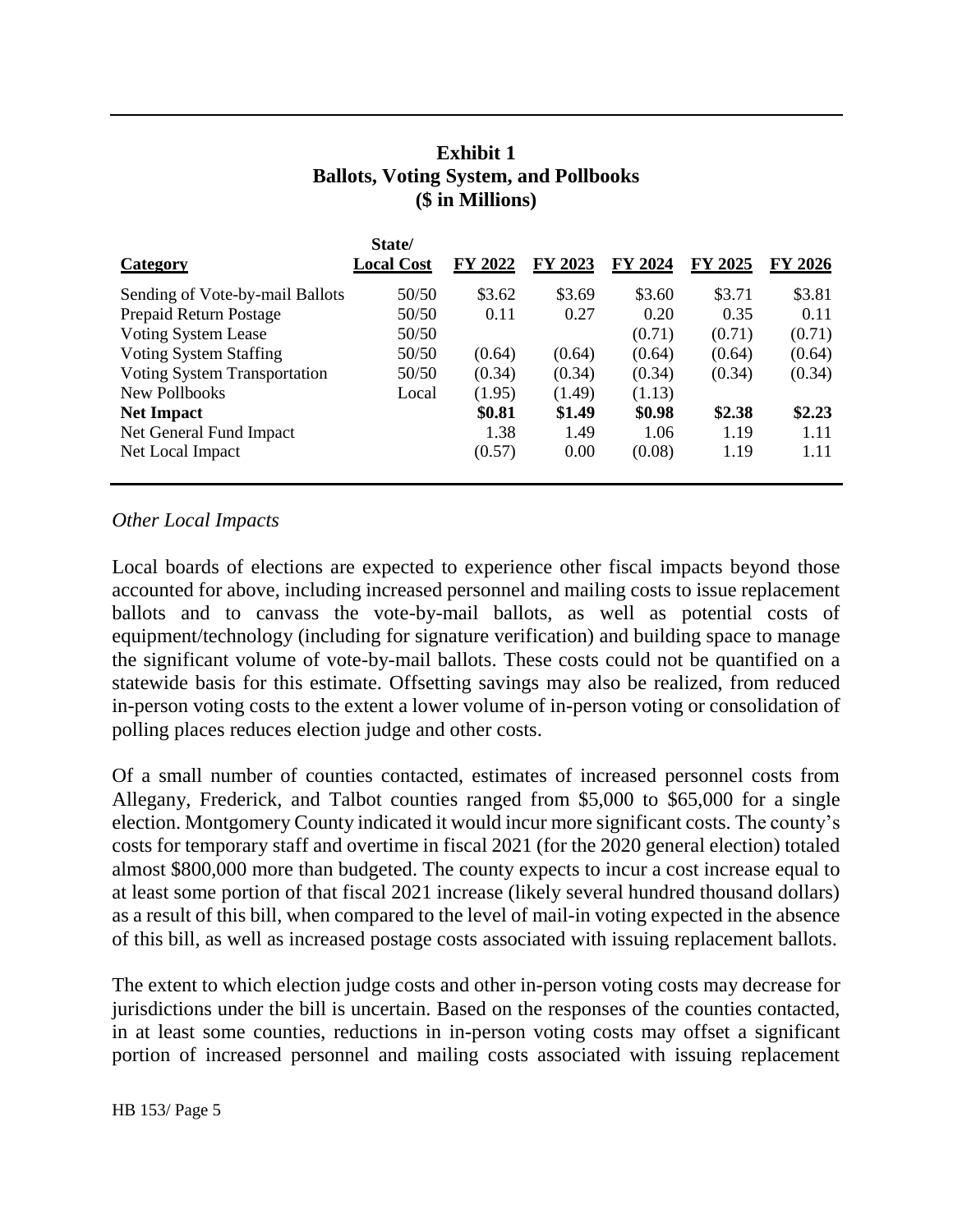## **Exhibit 1 Ballots, Voting System, and Pollbooks (\$ in Millions)**

|                                 | State/            |         |         |         |         |         |
|---------------------------------|-------------------|---------|---------|---------|---------|---------|
| <b>Category</b>                 | <b>Local Cost</b> | FY 2022 | FY 2023 | FY 2024 | FY 2025 | FY 2026 |
| Sending of Vote-by-mail Ballots | 50/50             | \$3.62  | \$3.69  | \$3.60  | \$3.71  | \$3.81  |
| Prepaid Return Postage          | 50/50             | 0.11    | 0.27    | 0.20    | 0.35    | 0.11    |
| <b>Voting System Lease</b>      | 50/50             |         |         | (0.71)  | (0.71)  | (0.71)  |
| Voting System Staffing          | 50/50             | (0.64)  | (0.64)  | (0.64)  | (0.64)  | (0.64)  |
| Voting System Transportation    | 50/50             | (0.34)  | (0.34)  | (0.34)  | (0.34)  | (0.34)  |
| New Pollbooks                   | Local             | (1.95)  | (1.49)  | (1.13)  |         |         |
| <b>Net Impact</b>               |                   | \$0.81  | \$1.49  | \$0.98  | \$2.38  | \$2.23  |
| Net General Fund Impact         |                   | 1.38    | 1.49    | 1.06    | 1.19    | 1.11    |
| Net Local Impact                |                   | (0.57)  | 0.00    | (0.08)  | 1.19    | 1.11    |

#### *Other Local Impacts*

Local boards of elections are expected to experience other fiscal impacts beyond those accounted for above, including increased personnel and mailing costs to issue replacement ballots and to canvass the vote-by-mail ballots, as well as potential costs of equipment/technology (including for signature verification) and building space to manage the significant volume of vote-by-mail ballots. These costs could not be quantified on a statewide basis for this estimate. Offsetting savings may also be realized, from reduced in-person voting costs to the extent a lower volume of in-person voting or consolidation of polling places reduces election judge and other costs.

Of a small number of counties contacted, estimates of increased personnel costs from Allegany, Frederick, and Talbot counties ranged from \$5,000 to \$65,000 for a single election. Montgomery County indicated it would incur more significant costs. The county's costs for temporary staff and overtime in fiscal 2021 (for the 2020 general election) totaled almost \$800,000 more than budgeted. The county expects to incur a cost increase equal to at least some portion of that fiscal 2021 increase (likely several hundred thousand dollars) as a result of this bill, when compared to the level of mail-in voting expected in the absence of this bill, as well as increased postage costs associated with issuing replacement ballots.

The extent to which election judge costs and other in-person voting costs may decrease for jurisdictions under the bill is uncertain. Based on the responses of the counties contacted, in at least some counties, reductions in in-person voting costs may offset a significant portion of increased personnel and mailing costs associated with issuing replacement